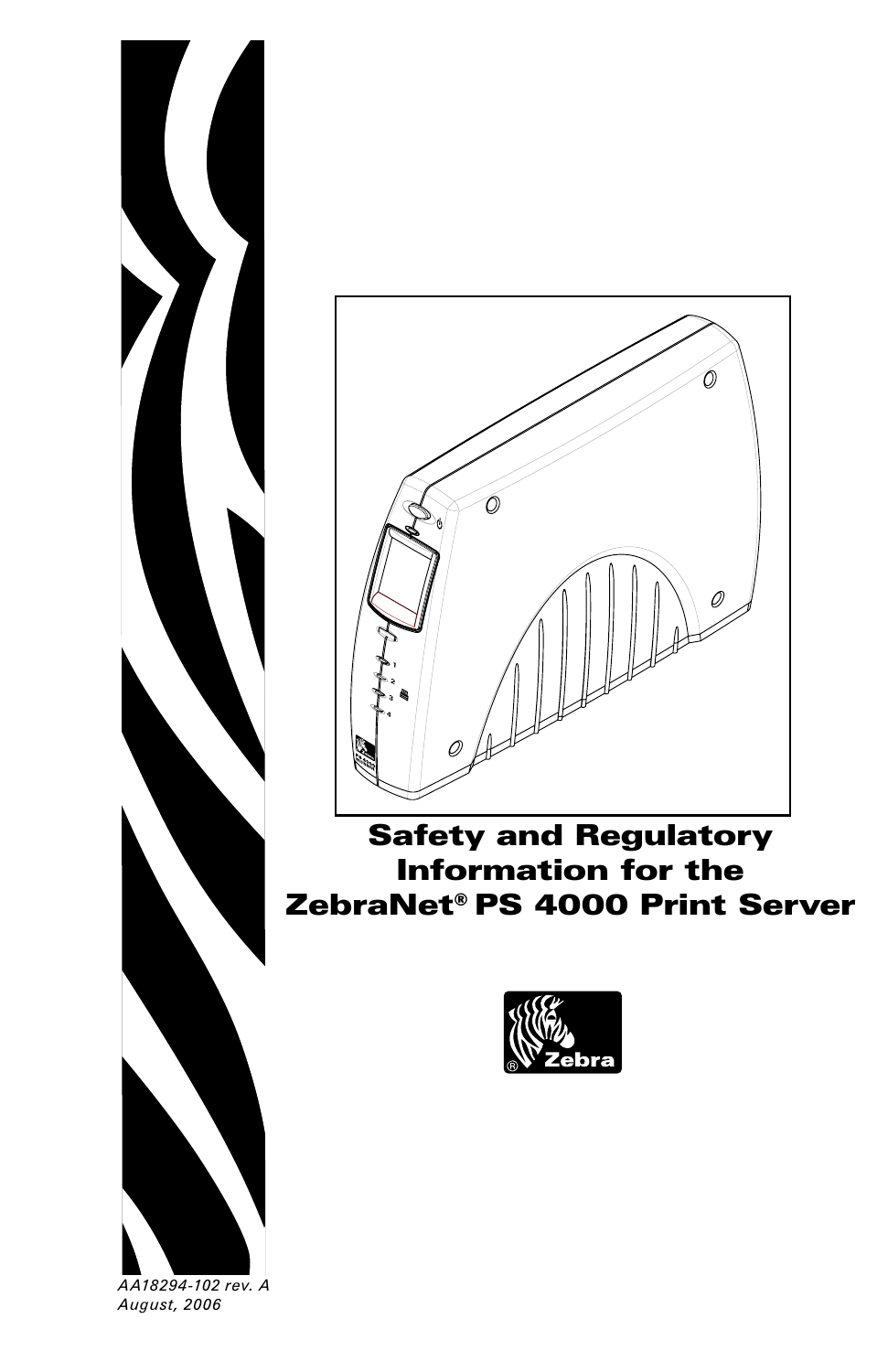



Safety and Regulatory Information for the ZebraNet® PS 4000 Print Server



*AA18294-102 rev. A August, 2006*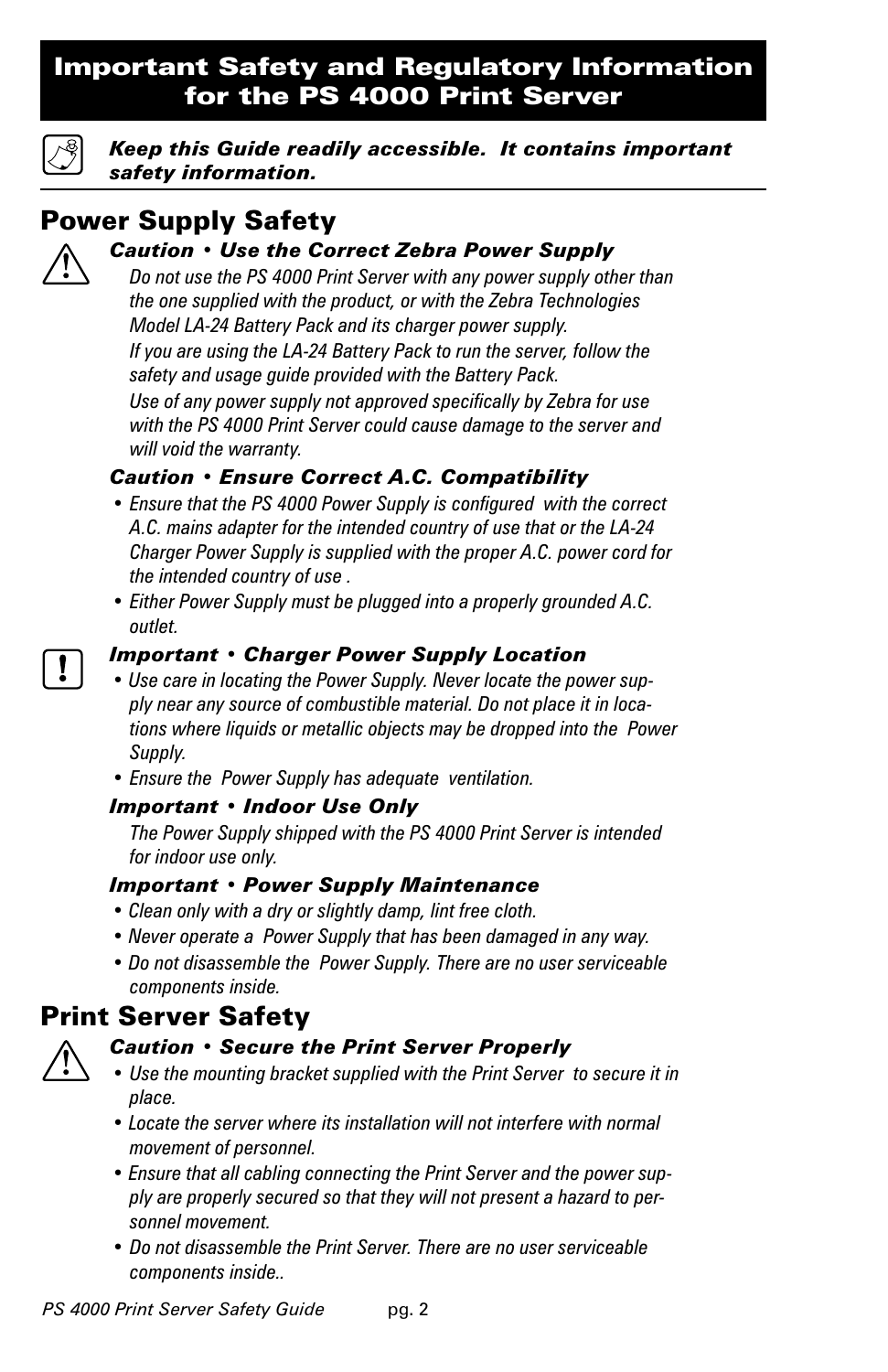## Important Safety and Regulatory Information for the PS 4000 Print Server



*Keep this Guide readily accessible. It contains important safety information.*

# Power Supply Safety

## *Caution • Use the Correct Zebra Power Supply*

 *Do not use the PS 4000 Print Server with any power supply other than the one supplied with the product, or with the Zebra Technologies Model LA-24 Battery Pack and its charger power supply. If you are using the LA-24 Battery Pack to run the server, follow the safety and usage guide provided with the Battery Pack.*

 *Use of any power supply not approved specifically by Zebra for use with the PS 4000 Print Server could cause damage to the server and will void the warranty.*

## *Caution • Ensure Correct A.C. Compatibility*

- *Ensure that the PS 4000 Power Supply is configured with the correct A.C. mains adapter for the intended country of use that or the LA-24 Charger Power Supply is supplied with the proper A.C. power cord for the intended country of use .*
- *Either Power Supply must be plugged into a properly grounded A.C. outlet.*

## *Important • Charger Power Supply Location*

- *Use care in locating the Power Supply. Never locate the power supply near any source of combustible material. Do not place it in locations where liquids or metallic objects may be dropped into the Power Supply.*
- *Ensure the Power Supply has adequate ventilation.*

## *Important • Indoor Use Only*

 *The Power Supply shipped with the PS 4000 Print Server is intended for indoor use only.*

### *Important • Power Supply Maintenance*

- *Clean only with a dry or slightly damp, lint free cloth.*
- *Never operate a Power Supply that has been damaged in any way.*
- *Do not disassemble the Power Supply. There are no user serviceable components inside.*

## Print Server Safety



### *Caution • Secure the Print Server Properly*

- *Use the mounting bracket supplied with the Print Server to secure it in place.*
- *Locate the server where its installation will not interfere with normal movement of personnel.*
- *Ensure that all cabling connecting the Print Server and the power supply are properly secured so that they will not present a hazard to personnel movement.*
- *Do not disassemble the Print Server. There are no user serviceable components inside..*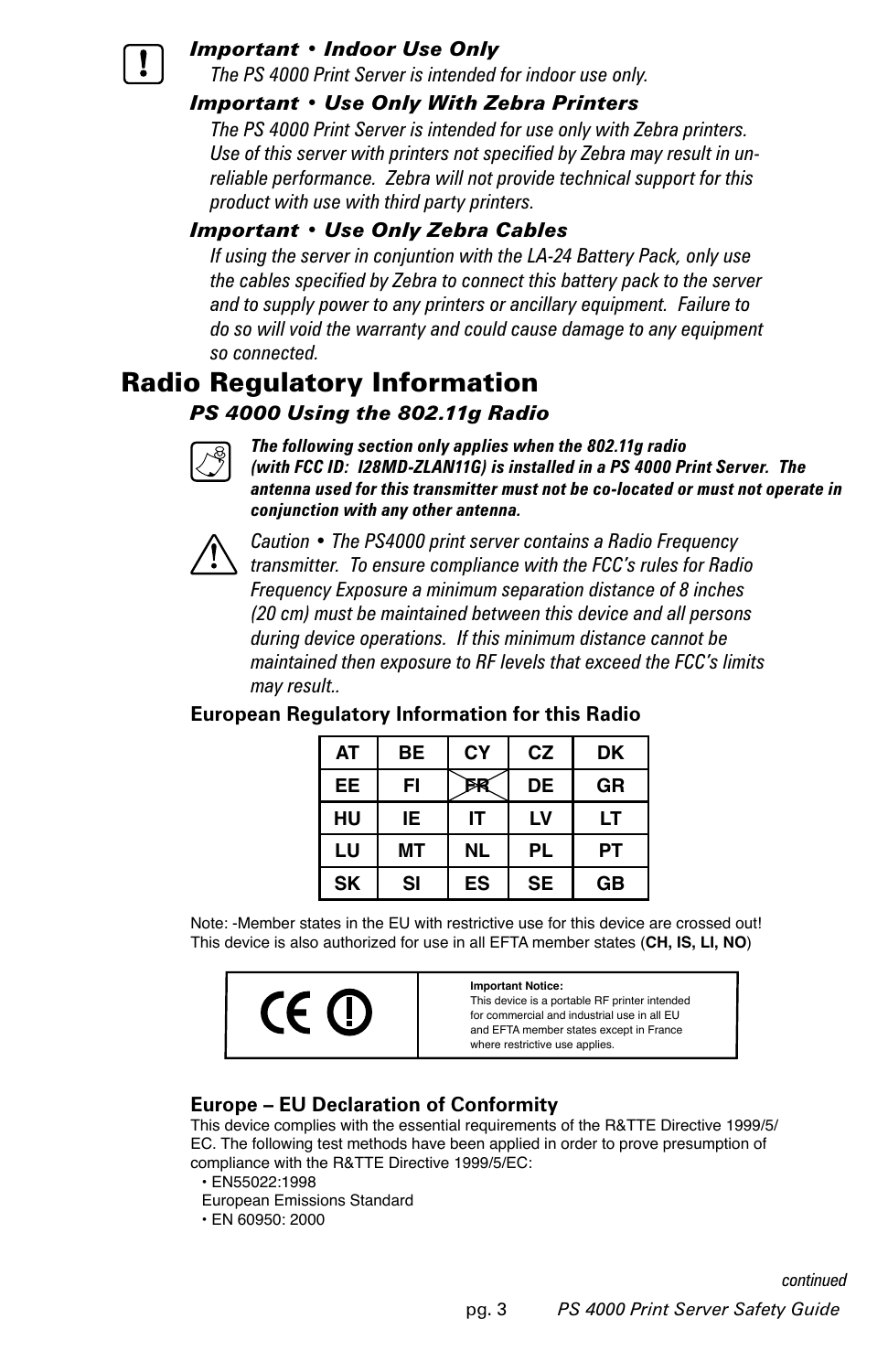

#### *Important • Indoor Use Only*

 *The PS 4000 Print Server is intended for indoor use only.*

#### *Important • Use Only With Zebra Printers*

 *The PS 4000 Print Server is intended for use only with Zebra printers. Use of this server with printers not specified by Zebra may result in unreliable performance. Zebra will not provide technical support for this product with use with third party printers.*

### *Important • Use Only Zebra Cables*

 *If using the server in conjuntion with the LA-24 Battery Pack, only use the cables specified by Zebra to connect this battery pack to the server and to supply power to any printers or ancillary equipment. Failure to do so will void the warranty and could cause damage to any equipment so connected.*

## Radio Regulatory Information

#### *PS 4000 Using the 802.11g Radio*



 *The following section only applies when the 802.11g radio (with FCC ID: I28MD-ZLAN11G) is installed in a PS 4000 Print Server. The antenna used for this transmitter must not be co-located or must not operate in conjunction with any other antenna.*



*Caution • The PS4000 print server contains a Radio Frequency transmitter. To ensure compliance with the FCC's rules for Radio Frequency Exposure a minimum separation distance of 8 inches (20 cm) must be maintained between this device and all persons during device operations. If this minimum distance cannot be maintained then exposure to RF levels that exceed the FCC's limits may result..*

#### **European Regulatory Information for this Radio**

| <b>AT</b> | <b>BE</b> | СY        | <b>CZ</b> | DK        |
|-----------|-----------|-----------|-----------|-----------|
| EE.       | FI        |           | DE        | <b>GR</b> |
| HU        | IE        | IΤ        | LV        | LT        |
| LU        | МT        | <b>NL</b> | PL        | PТ        |
| <b>SK</b> | SI        | ES        | <b>SE</b> | <b>GB</b> |

Note: -Member states in the EU with restrictive use for this device are crossed out! This device is also authorized for use in all EFTA member states (**CH, IS, LI, NO**)



#### **Europe – EU Declaration of Conformity**

This device complies with the essential requirements of the R&TTE Directive 1999/5/ EC. The following test methods have been applied in order to prove presumption of compliance with the R&TTE Directive 1999/5/EC:

- EN55022:1998
- European Emissions Standard
- EN 60950: 2000